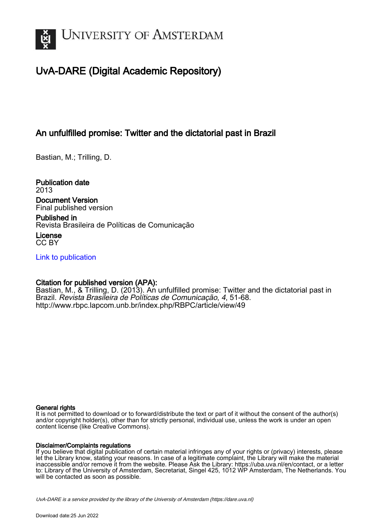

## UvA-DARE (Digital Academic Repository)

### An unfulfilled promise: Twitter and the dictatorial past in Brazil

Bastian, M.; Trilling, D.

Publication date 2013 Document Version

Final published version

Published in Revista Brasileira de Políticas de Comunicação

License CC BY

[Link to publication](https://dare.uva.nl/personal/pure/en/publications/an-unfulfilled-promise-twitter-and-the-dictatorial-past-in-brazil(96bebc36-ecd2-4d12-8457-b556e6633fd6).html)

#### Citation for published version (APA):

Bastian, M., & Trilling, D. (2013). An unfulfilled promise: Twitter and the dictatorial past in Brazil. Revista Brasileira de Políticas de Comunicação, 4, 51-68. <http://www.rbpc.lapcom.unb.br/index.php/RBPC/article/view/49>

#### General rights

It is not permitted to download or to forward/distribute the text or part of it without the consent of the author(s) and/or copyright holder(s), other than for strictly personal, individual use, unless the work is under an open content license (like Creative Commons).

#### Disclaimer/Complaints regulations

If you believe that digital publication of certain material infringes any of your rights or (privacy) interests, please let the Library know, stating your reasons. In case of a legitimate complaint, the Library will make the material inaccessible and/or remove it from the website. Please Ask the Library: https://uba.uva.nl/en/contact, or a letter to: Library of the University of Amsterdam, Secretariat, Singel 425, 1012 WP Amsterdam, The Netherlands. You will be contacted as soon as possible.

UvA-DARE is a service provided by the library of the University of Amsterdam (http*s*://dare.uva.nl)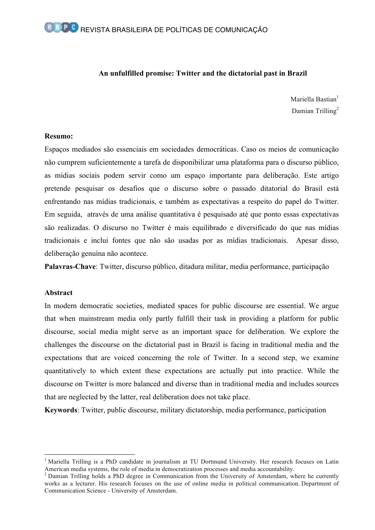#### **An unfulfilled promise: Twitter and the dictatorial past in Brazil**

Mariella Bastian $<sup>1</sup>$ </sup> Damian Trilling<sup>2</sup>

#### **Resumo:**

Espaços mediados são essenciais em sociedades democráticas. Caso os meios de comunicação não cumprem suficientemente a tarefa de disponibilizar uma plataforma para o discurso público, as mídias sociais podem servir como um espaço importante para deliberação. Este artigo pretende pesquisar os desafios que o discurso sobre o passado ditatorial do Brasil está enfrentando nas mídias tradicionais, e também as expectativas a respeito do papel do Twitter. Em seguida, através de uma análise quantitativa é pesquisado até que ponto essas expectativas são realizadas. O discurso no Twitter é mais equilibrado e diversificado do que nas mídias tradicionais e inclui fontes que não são usadas por as mídias tradicionais. Apesar disso, deliberação genuína não acontece.

**Palavras-Chave**: Twitter, discurso público, ditadura militar, media performance, participação

#### **Abstract**

In modern democratic societies, mediated spaces for public discourse are essential. We argue that when mainstream media only partly fulfill their task in providing a platform for public discourse, social media might serve as an important space for deliberation. We explore the challenges the discourse on the dictatorial past in Brazil is facing in traditional media and the expectations that are voiced concerning the role of Twitter. In a second step, we examine quantitatively to which extent these expectations are actually put into practice. While the discourse on Twitter is more balanced and diverse than in traditional media and includes sources that are neglected by the latter, real deliberation does not take place.

**Keywords**: Twitter, public discourse, military dictatorship, media performance, participation

<sup>&</sup>lt;sup>1</sup> Mariella Trilling is a PhD candidate in journalism at TU Dortmund University. Her research focuses on Latin American media systems, the role of media in democratization processes and media accountability.

 $2$  Damian Trilling holds a PhD degree in Communication from the University of Amsterdam, where he currently works as a lecturer. His research focuses on the use of online media in political communication. Department of Communication Science - University of Amsterdam.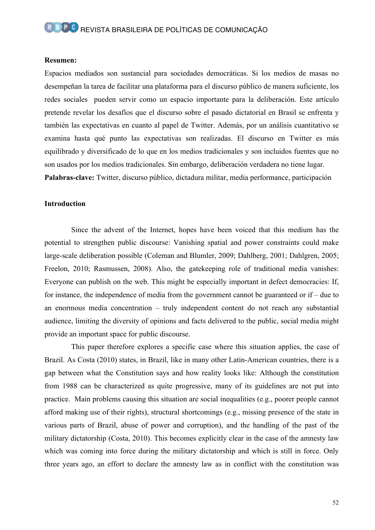#### **Resumen:**

Espacios mediados son sustancial para sociedades democráticas. Si los medios de masas no desempeñan la tarea de facilitar una plataforma para el discurso público de manera suficiente, los redes sociales pueden servir como un espacio importante para la deliberación. Este artículo pretende revelar los desafíos que el discurso sobre el pasado dictatorial en Brasil se enfrenta y también las expectativas en cuanto al papel de Twitter. Además, por un análisis cuantitativo se examina hasta qué punto las expectativas son realizadas. El discurso en Twitter es más equilibrado y diversificado de lo que en los medios tradicionales y son incluidos fuentes que no son usados por los medios tradicionales. Sin embargo, deliberación verdadera no tiene lugar. **Palabras-clave:** Twitter, discurso público, dictadura militar, media performance, participación

#### **Introduction**

Since the advent of the Internet, hopes have been voiced that this medium has the potential to strengthen public discourse: Vanishing spatial and power constraints could make large-scale deliberation possible (Coleman and Blumler, 2009; Dahlberg, 2001; Dahlgren, 2005; Freelon, 2010; Rasmussen, 2008). Also, the gatekeeping role of traditional media vanishes: Everyone can publish on the web. This might be especially important in defect democracies: If, for instance, the independence of media from the government cannot be guaranteed or if – due to an enormous media concentration – truly independent content do not reach any substantial audience, limiting the diversity of opinions and facts delivered to the public, social media might provide an important space for public discourse.

This paper therefore explores a specific case where this situation applies, the case of Brazil. As Costa (2010) states, in Brazil, like in many other Latin-American countries, there is a gap between what the Constitution says and how reality looks like: Although the constitution from 1988 can be characterized as quite progressive, many of its guidelines are not put into practice. Main problems causing this situation are social inequalities (e.g., poorer people cannot afford making use of their rights), structural shortcomings (e.g., missing presence of the state in various parts of Brazil, abuse of power and corruption), and the handling of the past of the military dictatorship (Costa, 2010). This becomes explicitly clear in the case of the amnesty law which was coming into force during the military dictatorship and which is still in force. Only three years ago, an effort to declare the amnesty law as in conflict with the constitution was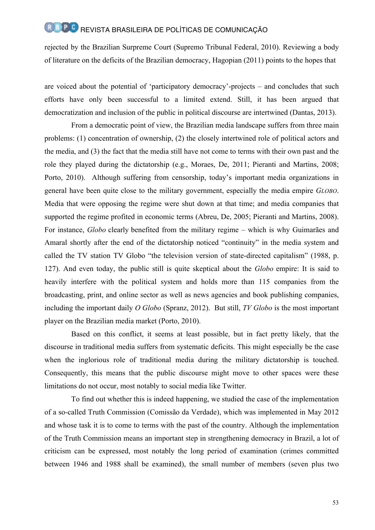rejected by the Brazilian Surpreme Court (Supremo Tribunal Federal, 2010). Reviewing a body of literature on the deficits of the Brazilian democracy, Hagopian (2011) points to the hopes that

are voiced about the potential of 'participatory democracy'-projects – and concludes that such efforts have only been successful to a limited extend. Still, it has been argued that democratization and inclusion of the public in political discourse are intertwined (Dantas, 2013).

From a democratic point of view, the Brazilian media landscape suffers from three main problems: (1) concentration of ownership, (2) the closely intertwined role of political actors and the media, and (3) the fact that the media still have not come to terms with their own past and the role they played during the dictatorship (e.g., Moraes, De, 2011; Pieranti and Martins, 2008; Porto, 2010). Although suffering from censorship, today's important media organizations in general have been quite close to the military government, especially the media empire *GLOBO*. Media that were opposing the regime were shut down at that time; and media companies that supported the regime profited in economic terms (Abreu, De, 2005; Pieranti and Martins, 2008). For instance, *Globo* clearly benefited from the military regime – which is why Guimarães and Amaral shortly after the end of the dictatorship noticed "continuity" in the media system and called the TV station TV Globo "the television version of state-directed capitalism" (1988, p. 127). And even today, the public still is quite skeptical about the *Globo* empire: It is said to heavily interfere with the political system and holds more than 115 companies from the broadcasting, print, and online sector as well as news agencies and book publishing companies, including the important daily *O Globo* (Spranz, 2012). But still, *TV Globo* is the most important player on the Brazilian media market (Porto, 2010).

Based on this conflict, it seems at least possible, but in fact pretty likely, that the discourse in traditional media suffers from systematic deficits. This might especially be the case when the inglorious role of traditional media during the military dictatorship is touched. Consequently, this means that the public discourse might move to other spaces were these limitations do not occur, most notably to social media like Twitter.

To find out whether this is indeed happening, we studied the case of the implementation of a so-called Truth Commission (Comissão da Verdade), which was implemented in May 2012 and whose task it is to come to terms with the past of the country. Although the implementation of the Truth Commission means an important step in strengthening democracy in Brazil, a lot of criticism can be expressed, most notably the long period of examination (crimes committed between 1946 and 1988 shall be examined), the small number of members (seven plus two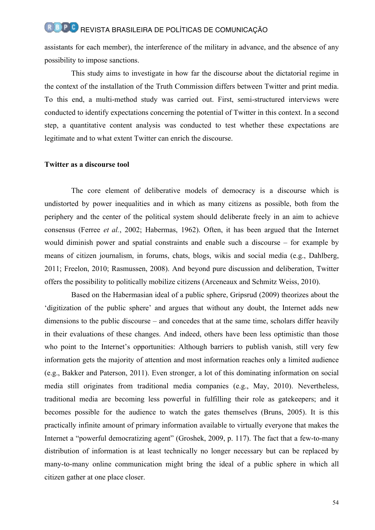assistants for each member), the interference of the military in advance, and the absence of any possibility to impose sanctions.

This study aims to investigate in how far the discourse about the dictatorial regime in the context of the installation of the Truth Commission differs between Twitter and print media. To this end, a multi-method study was carried out. First, semi-structured interviews were conducted to identify expectations concerning the potential of Twitter in this context. In a second step, a quantitative content analysis was conducted to test whether these expectations are legitimate and to what extent Twitter can enrich the discourse.

#### **Twitter as a discourse tool**

The core element of deliberative models of democracy is a discourse which is undistorted by power inequalities and in which as many citizens as possible, both from the periphery and the center of the political system should deliberate freely in an aim to achieve consensus (Ferree *et al.*, 2002; Habermas, 1962). Often, it has been argued that the Internet would diminish power and spatial constraints and enable such a discourse – for example by means of citizen journalism, in forums, chats, blogs, wikis and social media (e.g., Dahlberg, 2011; Freelon, 2010; Rasmussen, 2008). And beyond pure discussion and deliberation, Twitter offers the possibility to politically mobilize citizens (Arceneaux and Schmitz Weiss, 2010).

Based on the Habermasian ideal of a public sphere, Gripsrud (2009) theorizes about the 'digitization of the public sphere' and argues that without any doubt, the Internet adds new dimensions to the public discourse – and concedes that at the same time, scholars differ heavily in their evaluations of these changes. And indeed, others have been less optimistic than those who point to the Internet's opportunities: Although barriers to publish vanish, still very few information gets the majority of attention and most information reaches only a limited audience (e.g., Bakker and Paterson, 2011). Even stronger, a lot of this dominating information on social media still originates from traditional media companies (e.g., May, 2010). Nevertheless, traditional media are becoming less powerful in fulfilling their role as gatekeepers; and it becomes possible for the audience to watch the gates themselves (Bruns, 2005). It is this practically infinite amount of primary information available to virtually everyone that makes the Internet a "powerful democratizing agent" (Groshek, 2009, p. 117). The fact that a few-to-many distribution of information is at least technically no longer necessary but can be replaced by many-to-many online communication might bring the ideal of a public sphere in which all citizen gather at one place closer.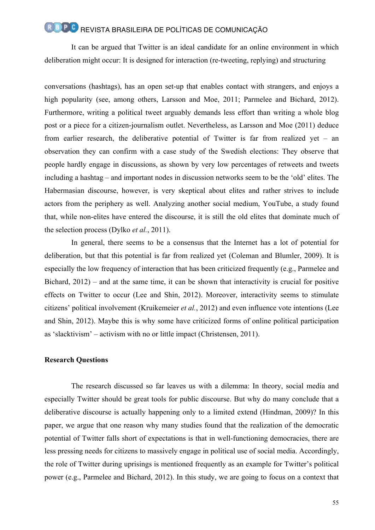It can be argued that Twitter is an ideal candidate for an online environment in which deliberation might occur: It is designed for interaction (re-tweeting, replying) and structuring

conversations (hashtags), has an open set-up that enables contact with strangers, and enjoys a high popularity (see, among others, Larsson and Moe, 2011; Parmelee and Bichard, 2012). Furthermore, writing a political tweet arguably demands less effort than writing a whole blog post or a piece for a citizen-journalism outlet. Nevertheless, as Larsson and Moe (2011) deduce from earlier research, the deliberative potential of Twitter is far from realized yet – an observation they can confirm with a case study of the Swedish elections: They observe that people hardly engage in discussions, as shown by very low percentages of retweets and tweets including a hashtag – and important nodes in discussion networks seem to be the 'old' elites. The Habermasian discourse, however, is very skeptical about elites and rather strives to include actors from the periphery as well. Analyzing another social medium, YouTube, a study found that, while non-elites have entered the discourse, it is still the old elites that dominate much of the selection process (Dylko *et al.*, 2011).

In general, there seems to be a consensus that the Internet has a lot of potential for deliberation, but that this potential is far from realized yet (Coleman and Blumler, 2009). It is especially the low frequency of interaction that has been criticized frequently (e.g., Parmelee and Bichard, 2012) – and at the same time, it can be shown that interactivity is crucial for positive effects on Twitter to occur (Lee and Shin, 2012). Moreover, interactivity seems to stimulate citizens' political involvement (Kruikemeier *et al.*, 2012) and even influence vote intentions (Lee and Shin, 2012). Maybe this is why some have criticized forms of online political participation as 'slacktivism' – activism with no or little impact (Christensen, 2011).

#### **Research Questions**

The research discussed so far leaves us with a dilemma: In theory, social media and especially Twitter should be great tools for public discourse. But why do many conclude that a deliberative discourse is actually happening only to a limited extend (Hindman, 2009)? In this paper, we argue that one reason why many studies found that the realization of the democratic potential of Twitter falls short of expectations is that in well-functioning democracies, there are less pressing needs for citizens to massively engage in political use of social media. Accordingly, the role of Twitter during uprisings is mentioned frequently as an example for Twitter's political power (e.g., Parmelee and Bichard, 2012). In this study, we are going to focus on a context that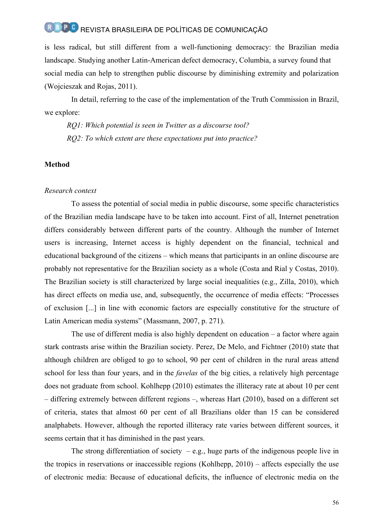is less radical, but still different from a well-functioning democracy: the Brazilian media landscape. Studying another Latin-American defect democracy, Columbia, a survey found that social media can help to strengthen public discourse by diminishing extremity and polarization (Wojcieszak and Rojas, 2011).

In detail, referring to the case of the implementation of the Truth Commission in Brazil, we explore:

*RQ1: Which potential is seen in Twitter as a discourse tool? RQ2: To which extent are these expectations put into practice?*

#### **Method**

#### *Research context*

To assess the potential of social media in public discourse, some specific characteristics of the Brazilian media landscape have to be taken into account. First of all, Internet penetration differs considerably between different parts of the country. Although the number of Internet users is increasing, Internet access is highly dependent on the financial, technical and educational background of the citizens – which means that participants in an online discourse are probably not representative for the Brazilian society as a whole (Costa and Rial y Costas, 2010). The Brazilian society is still characterized by large social inequalities (e.g., Zilla, 2010), which has direct effects on media use, and, subsequently, the occurrence of media effects: "Processes of exclusion [...] in line with economic factors are especially constitutive for the structure of Latin American media systems" (Massmann, 2007, p. 271).

The use of different media is also highly dependent on education – a factor where again stark contrasts arise within the Brazilian society. Perez, De Melo, and Fichtner (2010) state that although children are obliged to go to school, 90 per cent of children in the rural areas attend school for less than four years, and in the *favelas* of the big cities, a relatively high percentage does not graduate from school. Kohlhepp (2010) estimates the illiteracy rate at about 10 per cent – differing extremely between different regions –, whereas Hart (2010), based on a different set of criteria, states that almost 60 per cent of all Brazilians older than 15 can be considered analphabets. However, although the reported illiteracy rate varies between different sources, it seems certain that it has diminished in the past years.

The strong differentiation of society  $-e.g.,$  huge parts of the indigenous people live in the tropics in reservations or inaccessible regions (Kohlhepp, 2010) – affects especially the use of electronic media: Because of educational deficits, the influence of electronic media on the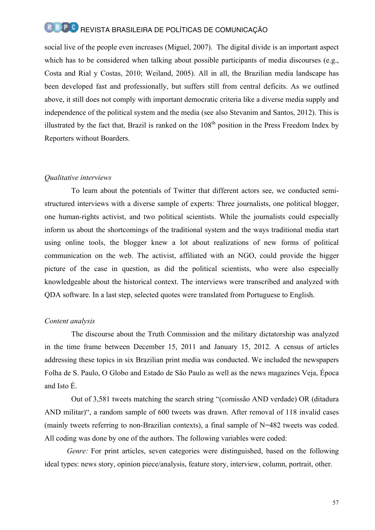social live of the people even increases (Miguel, 2007). The digital divide is an important aspect which has to be considered when talking about possible participants of media discourses (e.g., Costa and Rial y Costas, 2010; Weiland, 2005). All in all, the Brazilian media landscape has been developed fast and professionally, but suffers still from central deficits. As we outlined above, it still does not comply with important democratic criteria like a diverse media supply and independence of the political system and the media (see also Stevanim and Santos, 2012). This is illustrated by the fact that, Brazil is ranked on the  $108<sup>th</sup>$  position in the Press Freedom Index by Reporters without Boarders.

#### *Qualitative interviews*

To learn about the potentials of Twitter that different actors see, we conducted semistructured interviews with a diverse sample of experts: Three journalists, one political blogger, one human-rights activist, and two political scientists. While the journalists could especially inform us about the shortcomings of the traditional system and the ways traditional media start using online tools, the blogger knew a lot about realizations of new forms of political communication on the web. The activist, affiliated with an NGO, could provide the bigger picture of the case in question, as did the political scientists, who were also especially knowledgeable about the historical context. The interviews were transcribed and analyzed with QDA software. In a last step, selected quotes were translated from Portuguese to English.

#### *Content analysis*

The discourse about the Truth Commission and the military dictatorship was analyzed in the time frame between December 15, 2011 and January 15, 2012. A census of articles addressing these topics in six Brazilian print media was conducted. We included the newspapers Folha de S. Paulo, O Globo and Estado de São Paulo as well as the news magazines Veja, Época and Isto É.

Out of 3,581 tweets matching the search string "(comissão AND verdade) OR (ditadura AND militar)", a random sample of 600 tweets was drawn. After removal of 118 invalid cases (mainly tweets referring to non-Brazilian contexts), a final sample of N=482 tweets was coded. All coding was done by one of the authors. The following variables were coded:

*Genre:* For print articles, seven categories were distinguished, based on the following ideal types: news story, opinion piece/analysis, feature story, interview, column, portrait, other.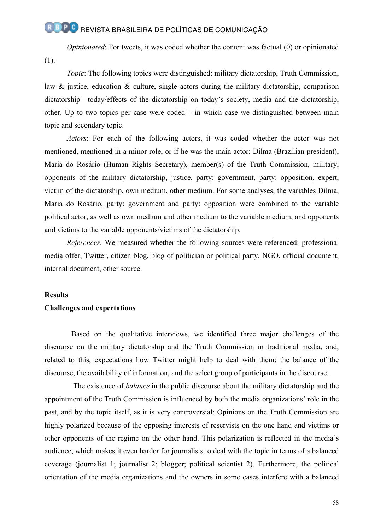*Opinionated*: For tweets, it was coded whether the content was factual (0) or opinionated (1).

*Topic*: The following topics were distinguished: military dictatorship, Truth Commission, law & justice, education & culture, single actors during the military dictatorship, comparison dictatorship—today/effects of the dictatorship on today's society, media and the dictatorship, other. Up to two topics per case were coded – in which case we distinguished between main topic and secondary topic.

*Actors*: For each of the following actors, it was coded whether the actor was not mentioned, mentioned in a minor role, or if he was the main actor: Dilma (Brazilian president), Maria do Rosário (Human Rights Secretary), member(s) of the Truth Commission, military, opponents of the military dictatorship, justice, party: government, party: opposition, expert, victim of the dictatorship, own medium, other medium. For some analyses, the variables Dilma, Maria do Rosário, party: government and party: opposition were combined to the variable political actor, as well as own medium and other medium to the variable medium, and opponents and victims to the variable opponents/victims of the dictatorship.

*References*. We measured whether the following sources were referenced: professional media offer, Twitter, citizen blog, blog of politician or political party, NGO, official document, internal document, other source.

#### **Results**

#### **Challenges and expectations**

Based on the qualitative interviews, we identified three major challenges of the discourse on the military dictatorship and the Truth Commission in traditional media, and, related to this, expectations how Twitter might help to deal with them: the balance of the discourse, the availability of information, and the select group of participants in the discourse.

The existence of *balance* in the public discourse about the military dictatorship and the appointment of the Truth Commission is influenced by both the media organizations' role in the past, and by the topic itself, as it is very controversial: Opinions on the Truth Commission are highly polarized because of the opposing interests of reservists on the one hand and victims or other opponents of the regime on the other hand. This polarization is reflected in the media's audience, which makes it even harder for journalists to deal with the topic in terms of a balanced coverage (journalist 1; journalist 2; blogger; political scientist 2). Furthermore, the political orientation of the media organizations and the owners in some cases interfere with a balanced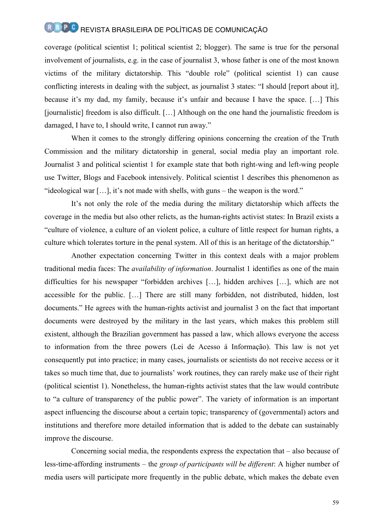coverage (political scientist 1; political scientist 2; blogger). The same is true for the personal involvement of journalists, e.g. in the case of journalist 3, whose father is one of the most known victims of the military dictatorship. This "double role" (political scientist 1) can cause conflicting interests in dealing with the subject, as journalist 3 states: "I should [report about it], because it's my dad, my family, because it's unfair and because I have the space. […] This [journalistic] freedom is also difficult. […] Although on the one hand the journalistic freedom is damaged, I have to, I should write, I cannot run away."

When it comes to the strongly differing opinions concerning the creation of the Truth Commission and the military dictatorship in general, social media play an important role. Journalist 3 and political scientist 1 for example state that both right-wing and left-wing people use Twitter, Blogs and Facebook intensively. Political scientist 1 describes this phenomenon as "ideological war […], it's not made with shells, with guns – the weapon is the word."

It's not only the role of the media during the military dictatorship which affects the coverage in the media but also other relicts, as the human-rights activist states: In Brazil exists a "culture of violence, a culture of an violent police, a culture of little respect for human rights, a culture which tolerates torture in the penal system. All of this is an heritage of the dictatorship."

Another expectation concerning Twitter in this context deals with a major problem traditional media faces: The *availability of information*. Journalist 1 identifies as one of the main difficulties for his newspaper "forbidden archives […], hidden archives […], which are not accessible for the public. […] There are still many forbidden, not distributed, hidden, lost documents." He agrees with the human-rights activist and journalist 3 on the fact that important documents were destroyed by the military in the last years, which makes this problem still existent, although the Brazilian government has passed a law, which allows everyone the access to information from the three powers (Lei de Acesso á Informação). This law is not yet consequently put into practice; in many cases, journalists or scientists do not receive access or it takes so much time that, due to journalists' work routines, they can rarely make use of their right (political scientist 1). Nonetheless, the human-rights activist states that the law would contribute to "a culture of transparency of the public power". The variety of information is an important aspect influencing the discourse about a certain topic; transparency of (governmental) actors and institutions and therefore more detailed information that is added to the debate can sustainably improve the discourse.

Concerning social media, the respondents express the expectation that – also because of less-time-affording instruments – the *group of participants will be different*: A higher number of media users will participate more frequently in the public debate, which makes the debate even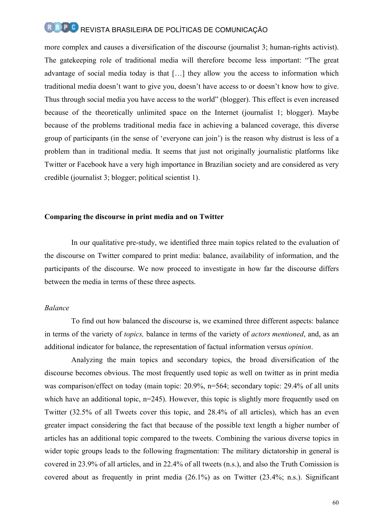more complex and causes a diversification of the discourse (journalist 3; human-rights activist). The gatekeeping role of traditional media will therefore become less important: "The great advantage of social media today is that […] they allow you the access to information which traditional media doesn't want to give you, doesn't have access to or doesn't know how to give. Thus through social media you have access to the world" (blogger). This effect is even increased because of the theoretically unlimited space on the Internet (journalist 1; blogger). Maybe because of the problems traditional media face in achieving a balanced coverage, this diverse group of participants (in the sense of 'everyone can join') is the reason why distrust is less of a problem than in traditional media. It seems that just not originally journalistic platforms like Twitter or Facebook have a very high importance in Brazilian society and are considered as very credible (journalist 3; blogger; political scientist 1).

#### **Comparing the discourse in print media and on Twitter**

In our qualitative pre-study, we identified three main topics related to the evaluation of the discourse on Twitter compared to print media: balance, availability of information, and the participants of the discourse. We now proceed to investigate in how far the discourse differs between the media in terms of these three aspects.

#### *Balance*

To find out how balanced the discourse is, we examined three different aspects: balance in terms of the variety of *topics,* balance in terms of the variety of *actors mentioned*, and, as an additional indicator for balance, the representation of factual information versus *opinion*.

Analyzing the main topics and secondary topics, the broad diversification of the discourse becomes obvious. The most frequently used topic as well on twitter as in print media was comparison/effect on today (main topic: 20.9%, n=564; secondary topic: 29.4% of all units which have an additional topic, n=245). However, this topic is slightly more frequently used on Twitter (32.5% of all Tweets cover this topic, and 28.4% of all articles), which has an even greater impact considering the fact that because of the possible text length a higher number of articles has an additional topic compared to the tweets. Combining the various diverse topics in wider topic groups leads to the following fragmentation: The military dictatorship in general is covered in 23.9% of all articles, and in 22.4% of all tweets (n.s.), and also the Truth Comission is covered about as frequently in print media (26.1%) as on Twitter (23.4%; n.s.). Significant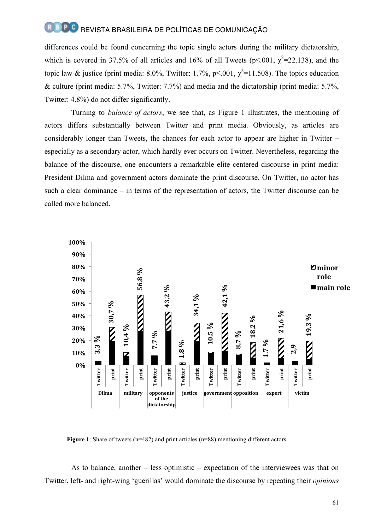differences could be found concerning the topic single actors during the military dictatorship, which is covered in 37.5% of all articles and 16% of all Tweets ( $p \le 0.001$ ,  $\chi^2 = 22.138$ ), and the topic law & justice (print media: 8.0%, Twitter: 1.7%,  $p \le 0.01$ ,  $\chi^2$ =11.508). The topics education & culture (print media: 5.7%, Twitter: 7.7%) and media and the dictatorship (print media: 5.7%, Twitter: 4.8%) do not differ significantly.

Turning to *balance of actors*, we see that, as Figure 1 illustrates, the mentioning of actors differs substantially between Twitter and print media. Obviously, as articles are considerably longer than Tweets, the chances for each actor to appear are higher in Twitter – especially as a secondary actor, which hardly ever occurs on Twitter. Nevertheless, regarding the balance of the discourse, one encounters a remarkable elite centered discourse in print media: President Dilma and government actors dominate the print discourse. On Twitter, no actor has such a clear dominance – in terms of the representation of actors, the Twitter discourse can be called more balanced.



**Figure 1**: Share of tweets (n=482) and print articles (n=88) mentioning different actors

As to balance, another – less optimistic – expectation of the interviewees was that on Twitter, left- and right-wing 'guerillas' would dominate the discourse by repeating their *opinions*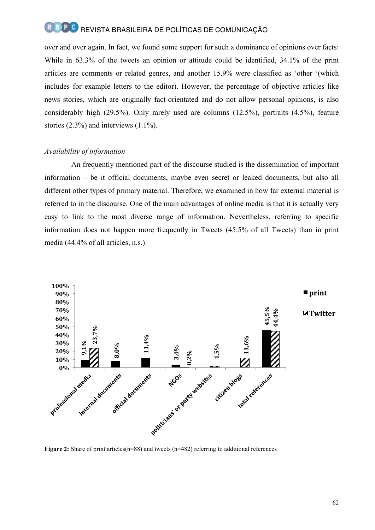over and over again. In fact, we found some support for such a dominance of opinions over facts: While in 63.3% of the tweets an opinion or attitude could be identified, 34.1% of the print articles are comments or related genres, and another 15.9% were classified as 'other '(which includes for example letters to the editor). However, the percentage of objective articles like news stories, which are originally fact-orientated and do not allow personal opinions, is also considerably high (29.5%). Only rarely used are columns (12.5%), portraits (4.5%), feature stories (2.3%) and interviews (1.1%).

#### *Availability of information*

An frequently mentioned part of the discourse studied is the dissemination of important information – be it official documents, maybe even secret or leaked documents, but also all different other types of primary material. Therefore, we examined in how far external material is referred to in the discourse. One of the main advantages of online media is that it is actually very easy to link to the most diverse range of information. Nevertheless, referring to specific information does not happen more frequently in Tweets (45.5% of all Tweets) than in print media (44.4% of all articles, n.s.).

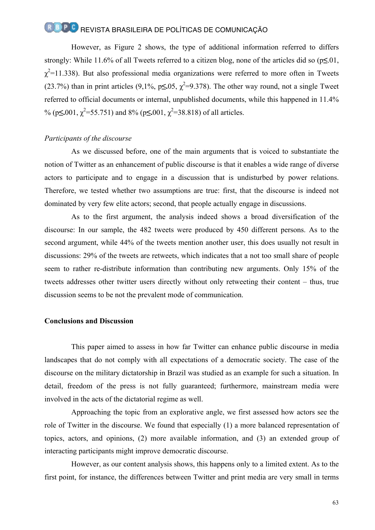However, as Figure 2 shows, the type of additional information referred to differs strongly: While 11.6% of all Tweets referred to a citizen blog, none of the articles did so (p**≤**.01,  $\chi^2$ =11.338). But also professional media organizations were referred to more often in Tweets (23.7%) than in print articles (9,1%,  $p\leq 0.05$ ,  $\chi^2=9.378$ ). The other way round, not a single Tweet referred to official documents or internal, unpublished documents, while this happened in 11.4% % (p≤**.**001,  $\chi^2$ =55.751) and 8% (p≤**.**001,  $\chi^2$ =38.818) of all articles.

#### *Participants of the discourse*

As we discussed before, one of the main arguments that is voiced to substantiate the notion of Twitter as an enhancement of public discourse is that it enables a wide range of diverse actors to participate and to engage in a discussion that is undisturbed by power relations. Therefore, we tested whether two assumptions are true: first, that the discourse is indeed not dominated by very few elite actors; second, that people actually engage in discussions.

As to the first argument, the analysis indeed shows a broad diversification of the discourse: In our sample, the 482 tweets were produced by 450 different persons. As to the second argument, while 44% of the tweets mention another user, this does usually not result in discussions: 29% of the tweets are retweets, which indicates that a not too small share of people seem to rather re-distribute information than contributing new arguments. Only 15% of the tweets addresses other twitter users directly without only retweeting their content – thus, true discussion seems to be not the prevalent mode of communication.

#### **Conclusions and Discussion**

This paper aimed to assess in how far Twitter can enhance public discourse in media landscapes that do not comply with all expectations of a democratic society. The case of the discourse on the military dictatorship in Brazil was studied as an example for such a situation. In detail, freedom of the press is not fully guaranteed; furthermore, mainstream media were involved in the acts of the dictatorial regime as well.

Approaching the topic from an explorative angle, we first assessed how actors see the role of Twitter in the discourse. We found that especially (1) a more balanced representation of topics, actors, and opinions, (2) more available information, and (3) an extended group of interacting participants might improve democratic discourse.

However, as our content analysis shows, this happens only to a limited extent. As to the first point, for instance, the differences between Twitter and print media are very small in terms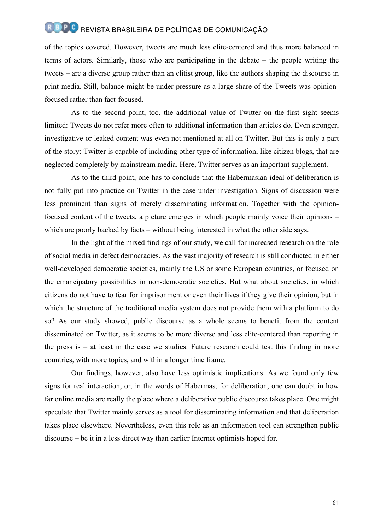of the topics covered. However, tweets are much less elite-centered and thus more balanced in terms of actors. Similarly, those who are participating in the debate – the people writing the tweets – are a diverse group rather than an elitist group, like the authors shaping the discourse in print media. Still, balance might be under pressure as a large share of the Tweets was opinionfocused rather than fact-focused.

As to the second point, too, the additional value of Twitter on the first sight seems limited: Tweets do not refer more often to additional information than articles do. Even stronger, investigative or leaked content was even not mentioned at all on Twitter. But this is only a part of the story: Twitter is capable of including other type of information, like citizen blogs, that are neglected completely by mainstream media. Here, Twitter serves as an important supplement.

As to the third point, one has to conclude that the Habermasian ideal of deliberation is not fully put into practice on Twitter in the case under investigation. Signs of discussion were less prominent than signs of merely disseminating information. Together with the opinionfocused content of the tweets, a picture emerges in which people mainly voice their opinions – which are poorly backed by facts – without being interested in what the other side says.

In the light of the mixed findings of our study, we call for increased research on the role of social media in defect democracies. As the vast majority of research is still conducted in either well-developed democratic societies, mainly the US or some European countries, or focused on the emancipatory possibilities in non-democratic societies. But what about societies, in which citizens do not have to fear for imprisonment or even their lives if they give their opinion, but in which the structure of the traditional media system does not provide them with a platform to do so? As our study showed, public discourse as a whole seems to benefit from the content disseminated on Twitter, as it seems to be more diverse and less elite-centered than reporting in the press is – at least in the case we studies. Future research could test this finding in more countries, with more topics, and within a longer time frame.

Our findings, however, also have less optimistic implications: As we found only few signs for real interaction, or, in the words of Habermas, for deliberation, one can doubt in how far online media are really the place where a deliberative public discourse takes place. One might speculate that Twitter mainly serves as a tool for disseminating information and that deliberation takes place elsewhere. Nevertheless, even this role as an information tool can strengthen public discourse – be it in a less direct way than earlier Internet optimists hoped for.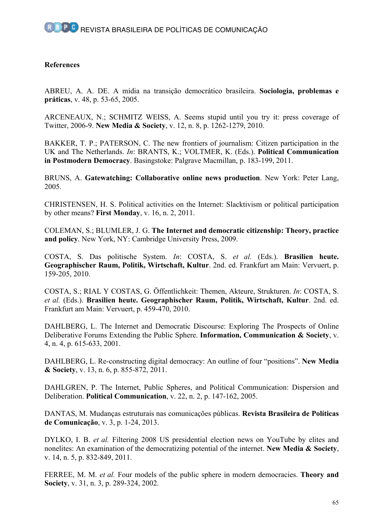#### **References**

ABREU, A. A. DE. A mídia na transição democrático brasileira. **Sociologia, problemas e práticas**, v. 48, p. 53-65, 2005.

ARCENEAUX, N.; SCHMITZ WEISS, A. Seems stupid until you try it: press coverage of Twitter, 2006-9. **New Media & Society**, v. 12, n. 8, p. 1262-1279, 2010.

BAKKER, T. P.; PATERSON, C. The new frontiers of journalism: Citizen participation in the UK and The Netherlands. *In*: BRANTS, K.; VOLTMER, K. (Eds.). **Political Communication in Postmodern Democracy**. Basingstoke: Palgrave Macmillan, p. 183-199, 2011.

BRUNS, A. **Gatewatching: Collaborative online news production**. New York: Peter Lang, 2005.

CHRISTENSEN, H. S. Political activities on the Internet: Slacktivism or political participation by other means? **First Monday**, v. 16, n. 2, 2011.

COLEMAN, S.; BLUMLER, J. G. **The Internet and democratic citizenship: Theory, practice and policy**. New York, NY: Cambridge University Press, 2009.

COSTA, S. Das politische System. *In*: COSTA, S. *et al.* (Eds.). **Brasilien heute. Geographischer Raum, Politik, Wirtschaft, Kultur**. 2nd. ed. Frankfurt am Main: Vervuert, p. 159-205, 2010.

COSTA, S.; RIAL Y COSTAS, G. Öffentlichkeit: Themen, Akteure, Strukturen. *In*: COSTA, S. *et al.* (Eds.). **Brasilien heute. Geographischer Raum, Politik, Wirtschaft, Kultur**. 2nd. ed. Frankfurt am Main: Vervuert, p. 459-470, 2010.

DAHLBERG, L. The Internet and Democratic Discourse: Exploring The Prospects of Online Deliberative Forums Extending the Public Sphere. **Information, Communication & Society**, v. 4, n. 4, p. 615-633, 2001.

DAHLBERG, L. Re-constructing digital democracy: An outline of four "positions". **New Media & Society**, v. 13, n. 6, p. 855-872, 2011.

DAHLGREN, P. The Internet, Public Spheres, and Political Communication: Dispersion and Deliberation. **Political Communication**, v. 22, n. 2, p. 147-162, 2005.

DANTAS, M. Mudanças estruturais nas comunicações públicas. **Revista Brasileira de Políticas de Comunicação**, v. 3, p. 1-24, 2013.

DYLKO, I. B. *et al.* Filtering 2008 US presidential election news on YouTube by elites and nonelites: An examination of the democratizing potential of the internet. **New Media & Society**, v. 14, n. 5, p. 832-849, 2011.

FERREE, M. M. *et al.* Four models of the public sphere in modern democracies. **Theory and Society**, v. 31, n. 3, p. 289-324, 2002.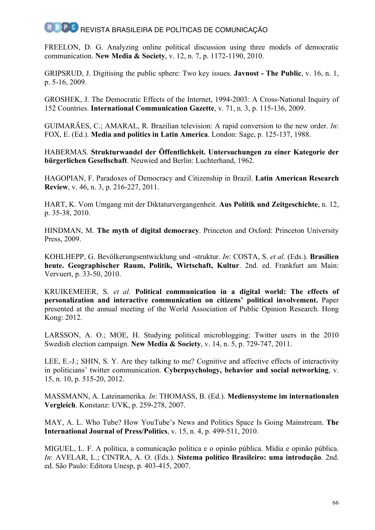FREELON, D. G. Analyzing online political discussion using three models of democratic communication. **New Media & Society**, v. 12, n. 7, p. 1172-1190, 2010.

GRIPSRUD, J. Digitising the public sphere: Two key issues. **Javnost - The Public**, v. 16, n. 1, p. 5-16, 2009.

GROSHEK, J. The Democratic Effects of the Internet, 1994-2003: A Cross-National Inquiry of 152 Countries. **International Communication Gazette**, v. 71, n. 3, p. 115-136, 2009.

GUIMARÃES, C.; AMARAL, R. Brazilian television: A rapid conversion to the new order. *In*: FOX, E. (Ed.). **Media and politics in Latin America**. London: Sage, p. 125-137, 1988.

HABERMAS. **Strukturwandel der Öffentlichkeit. Untersuchungen zu einer Kategorie der bürgerlichen Gesellschaft**. Neuwied and Berlin: Luchterhand, 1962.

HAGOPIAN, F. Paradoxes of Democracy and Citizenship in Brazil. **Latin American Research Review**, v. 46, n. 3, p. 216-227, 2011.

HART, K. Vom Umgang mit der Diktaturvergangenheit. **Aus Politik und Zeitgeschichte**, n. 12, p. 35-38, 2010.

HINDMAN, M. **The myth of digital democracy**. Princeton and Oxford: Princeton University Press, 2009.

KOHLHEPP, G. Bevölkerungsentwicklung und -struktur. *In*: COSTA, S. *et al.* (Eds.). **Brasilien heute. Geographischer Raum, Politik, Wirtschaft, Kultur**. 2nd. ed. Frankfurt am Main: Vervuert, p. 33-50, 2010.

KRUIKEMEIER, S. *et al.* **Political communication in a digital world: The effects of personalization and interactive communication on citizens' political involvement.** Paper presented at the annual meeting of the World Association of Public Opinion Research. Hong Kong: 2012.

LARSSON, A. O.; MOE, H. Studying political microblogging: Twitter users in the 2010 Swedish election campaign. **New Media & Society**, v. 14, n. 5, p. 729-747, 2011.

LEE, E.-J.; SHIN, S. Y. Are they talking to me? Cognitive and affective effects of interactivity in politicians' twitter communication. **Cyberpsychology, behavior and social networking**, v. 15, n. 10, p. 515-20, 2012.

MASSMANN, A. Lateinamerika. *In*: THOMASS, B. (Ed.). **Mediensysteme im internationalen Vergleich**. Konstanz: UVK, p. 259-278, 2007.

MAY, A. L. Who Tube? How YouTube's News and Politics Space Is Going Mainstream. **The International Journal of Press/Politics**, v. 15, n. 4, p. 499-511, 2010.

MIGUEL, L. F. A política, a comunicação política e o opinão pública. Mídia e opinão pública. *In*: AVELAR, L.; CINTRA, A. O. (Eds.). **Sistema político Brasileiro: uma introdução**. 2nd. ed. São Paulo: Editora Unesp, p. 403-415, 2007.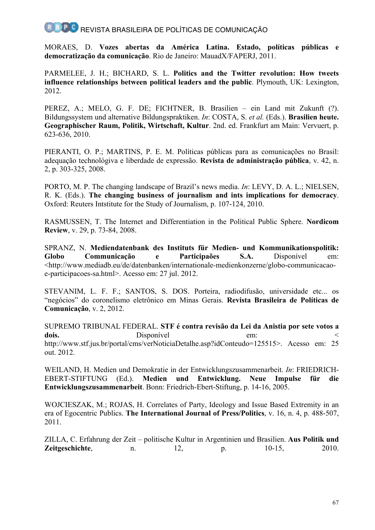MORAES, D. **Vozes abertas da América Latina. Estado, políticas públicas e democratização da comunicação**. Rio de Janeiro: MauadX/FAPERJ, 2011.

PARMELEE, J. H.; BICHARD, S. L. **Politics and the Twitter revolution: How tweets influence relationships between political leaders and the public**. Plymouth, UK: Lexington, 2012.

PEREZ, A.; MELO, G. F. DE; FICHTNER, B. Brasilien – ein Land mit Zukunft (?). Bildungssystem und alternative Bildungspraktiken. *In*: COSTA, S. *et al.* (Eds.). **Brasilien heute. Geographischer Raum, Politik, Wirtschaft, Kultur**. 2nd. ed. Frankfurt am Main: Vervuert, p. 623-636, 2010.

PIERANTI, O. P.; MARTINS, P. E. M. Políticas públicas para as comunicações no Brasil: adequação technológiva e liberdade de expressão. **Revista de administração pública**, v. 42, n. 2, p. 303-325, 2008.

PORTO, M. P. The changing landscape of Brazil's news media. *In*: LEVY, D. A. L.; NIELSEN, R. K. (Eds.). **The changing business of journalism and ints implications for democracy**. Oxford: Reuters Intstitute for the Study of Journalism, p. 107-124, 2010.

RASMUSSEN, T. The Internet and Differentiation in the Political Public Sphere. **Nordicom Review**, v. 29, p. 73-84, 2008.

SPRANZ, N. **Mediendatenbank des Instituts für Medien- und Kommunikationspolitik: Globo Communicação e Participaões S.A.** Disponível em: <http://www.mediadb.eu/de/datenbanken/internationale-medienkonzerne/globo-communicacaoe-participacoes-sa.html>. Acesso em: 27 jul. 2012.

STEVANIM, L. F. F.; SANTOS, S. DOS. Porteira, radiodifusão, universidade etc... os "negócios" do coronelismo eletrônico em Minas Gerais. **Revista Brasileira de Políticas de Comunicação**, v. 2, 2012.

SUPREMO TRIBUNAL FEDERAL. **STF é contra revisão da Lei da Anistia por sete votos a**  dois. Disponível em: http://www.stf.jus.br/portal/cms/verNoticiaDetalhe.asp?idConteudo=125515>. Acesso em: 25 out. 2012.

WEILAND, H. Medien und Demokratie in der Entwicklungszusammenarbeit. *In*: FRIEDRICH-EBERT-STIFTUNG (Ed.). **Medien und Entwicklung. Neue Impulse für die Entwicklungszusammenarbeit**. Bonn: Friedrich-Ebert-Stiftung, p. 14-16, 2005.

WOJCIESZAK, M.; ROJAS, H. Correlates of Party, Ideology and Issue Based Extremity in an era of Egocentric Publics. **The International Journal of Press/Politics**, v. 16, n. 4, p. 488-507, 2011.

ZILLA, C. Erfahrung der Zeit – politische Kultur in Argentinien und Brasilien. **Aus Politik und Zeitgeschichte**, n. 12, p. 10-15, 2010.